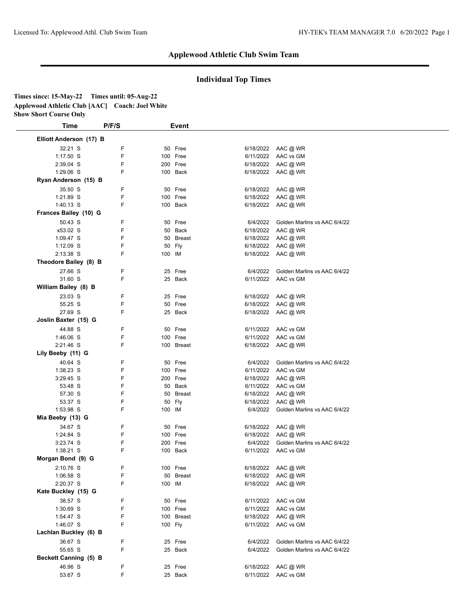## **Individual Top Times**

| Times since: 15-May-22                          | Times until: 05-Aug-22 |
|-------------------------------------------------|------------------------|
| Applewood Athletic Club [AAC] Coach: Joel White |                        |
| <b>Show Short Course Only</b>                   |                        |

| Time                    | P/F/S | <b>Event</b> |           |                              |  |
|-------------------------|-------|--------------|-----------|------------------------------|--|
| Elliott Anderson (17) B |       |              |           |                              |  |
| 32.21 S                 | F     | 50 Free      |           | 6/18/2022 AAC @ WR           |  |
| $1:17.50$ S             | F     | 100 Free     | 6/11/2022 | AAC vs GM                    |  |
| 2:39.04 S               | F     | 200 Free     |           | 6/18/2022 AAC @ WR           |  |
| 1:29.06 S               | F     | 100 Back     |           | 6/18/2022 AAC @ WR           |  |
| Ryan Anderson (15) B    |       |              |           |                              |  |
| 35.50 S                 | F     | 50 Free      |           | 6/18/2022 AAC @ WR           |  |
| 1:21.89 S               | F     | 100 Free     |           | 6/18/2022 AAC @ WR           |  |
| $1:40.13$ S             | F     | 100 Back     |           | 6/18/2022 AAC @ WR           |  |
| Frances Bailey (10) G   |       |              |           |                              |  |
| 50.43 S                 | F     | 50 Free      | 6/4/2022  | Golden Marlins vs AAC 6/4/22 |  |
| x53.02 S                | F     | 50 Back      | 6/18/2022 | AAC @ WR                     |  |
| $1:09.47$ S             | F     | 50 Breast    |           | 6/18/2022 AAC @ WR           |  |
| $1:12.09$ S             | F     | 50 Fly       |           | 6/18/2022 AAC @ WR           |  |
| 2:13.38 S               | F     | 100 IM       |           | 6/18/2022 AAC @ WR           |  |
| Theodore Bailey (8) B   |       |              |           |                              |  |
| 27.66 S                 | F     | 25 Free      | 6/4/2022  | Golden Marlins vs AAC 6/4/22 |  |
| 31.60 S                 | F     | 25 Back      |           | 6/11/2022 AAC vs GM          |  |
| William Bailey (8) B    |       |              |           |                              |  |
| 23.03 S                 | F     | 25 Free      |           | 6/18/2022 AAC @ WR           |  |
| 55.25 S                 | F     | 50 Free      | 6/18/2022 | AAC @ WR                     |  |
| 27.69 S                 | F     | 25 Back      |           | 6/18/2022 AAC @ WR           |  |
| Joslin Baxter (15) G    |       |              |           |                              |  |
| 44.88 S                 | F     | 50 Free      | 6/11/2022 | AAC vs GM                    |  |
| $1:46.06$ S             | F     | 100 Free     |           | 6/11/2022 AAC vs GM          |  |
| 2:21.46 S               | F     | 100 Breast   |           | 6/18/2022 AAC @ WR           |  |
| Lily Beeby (11) G       |       |              |           |                              |  |
| 40.64 S                 | F     | 50 Free      | 6/4/2022  | Golden Marlins vs AAC 6/4/22 |  |
| 1:38.23 S               | F     | 100 Free     | 6/11/2022 | AAC vs GM                    |  |
| $3:29.45$ S             | F     | 200 Free     | 6/18/2022 | AAC @ WR                     |  |
| 53.48 S                 | F     | 50 Back      | 6/11/2022 | AAC vs GM                    |  |
| 57.30 S                 | F     | 50 Breast    | 6/18/2022 | AAC @ WR                     |  |
| 53.37 S                 | F     | 50 Fly       | 6/18/2022 | AAC @ WR                     |  |
| 1:53.98 S               | F     | 100 IM       | 6/4/2022  | Golden Marlins vs AAC 6/4/22 |  |
| Mia Beeby (13) G        |       |              |           |                              |  |
| 34.67 S                 | F     | 50 Free      |           | 6/18/2022 AAC @ WR           |  |
| 1:24.84 S               | F     | 100 Free     | 6/18/2022 | AAC @ WR                     |  |
| 3:23.74 S               | F     | 200 Free     | 6/4/2022  | Golden Marlins vs AAC 6/4/22 |  |
| 1:38.21 S               | F     | 100 Back     |           | 6/11/2022 AAC vs GM          |  |
| Morgan Bond (9) G       |       |              |           |                              |  |
| 2:10.76 S               | F.    | 100 Free     |           | 6/18/2022 AAC @ WR           |  |
| $1:06.58$ S             | F     | 50 Breast    |           | 6/18/2022 AAC @ WR           |  |
| 2:20.37 S               | F     | 100 IM       |           | 6/18/2022 AAC @ WR           |  |
| Kate Buckley (15) G     |       |              |           |                              |  |
| 38.57 S                 | F     | 50 Free      |           | 6/11/2022 AAC vs GM          |  |
| 1:30.69 S               | F     | 100 Free     |           | 6/11/2022 AAC vs GM          |  |
| 1:54.47 S               | F     | 100 Breast   |           | 6/18/2022 AAC @ WR           |  |
| 1:46.07 S               | F     | 100 Fly      |           | 6/11/2022 AAC vs GM          |  |
| Lachlan Buckley (6) B   |       |              |           |                              |  |
| 36.67 S                 | F     | 25 Free      | 6/4/2022  | Golden Marlins vs AAC 6/4/22 |  |
| 55.65 S                 | F     | 25 Back      | 6/4/2022  | Golden Marlins vs AAC 6/4/22 |  |
| Beckett Canning (5) B   |       |              |           |                              |  |
| 46.96 S                 | F     | 25 Free      |           | 6/18/2022 AAC @ WR           |  |
| 53.67 S                 | F     | 25 Back      |           | 6/11/2022 AAC vs GM          |  |
|                         |       |              |           |                              |  |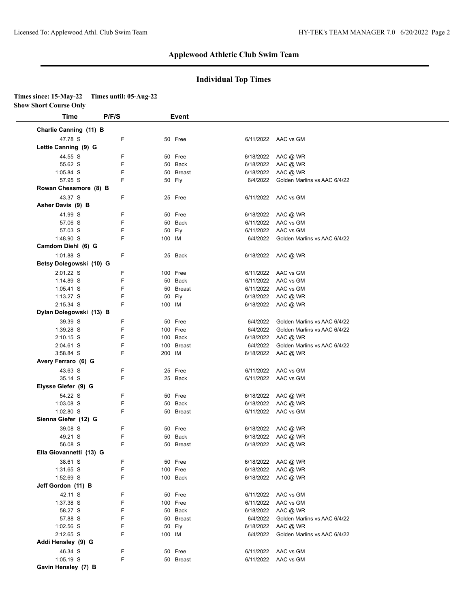**Elysse Giefer (9) G** 

**Ella Giovannetti (13) G** 

**Jeff Gordon (11) B** 

**Addi Hensley (9) G** 

**Gavin Hensley (7) B** 

1.03.08 S F<br>1.02.80 S F<br>**Sienna Giefer (12) G** 

#### **Applewood Athletic Club Swim Team**

#### **Individual Top Times**

| <b>Time</b>             | P/F/S |        | Event      |           |                              |
|-------------------------|-------|--------|------------|-----------|------------------------------|
| Charlie Canning (11) B  |       |        |            |           |                              |
| 47.78 S                 | F     |        | 50 Free    |           | 6/11/2022 AAC vs GM          |
| Lettie Canning (9) G    |       |        |            |           |                              |
| 44.55 S                 | F     |        | 50 Free    | 6/18/2022 | AAC @ WR                     |
| 55.62 S                 | F     |        | 50 Back    | 6/18/2022 | AAC @ WR                     |
| 1:05.84 S               | F     |        | 50 Breast  | 6/18/2022 | AAC @ WR                     |
| 57.95 S                 | F     |        | 50 Fly     | 6/4/2022  | Golden Marlins vs AAC 6/4/22 |
| Rowan Chessmore (8) B   |       |        |            |           |                              |
| 43.37 S                 | F     |        | 25 Free    |           | 6/11/2022 AAC vs GM          |
| Asher Davis (9) B       |       |        |            |           |                              |
| 41.99 S                 | F     |        | 50 Free    | 6/18/2022 | AAC @ WR                     |
| 57.06 S                 | F     |        | 50 Back    | 6/11/2022 | AAC vs GM                    |
| 57.03 S                 | F     |        | 50 Fly     | 6/11/2022 | AAC vs GM                    |
| 1:48.90 S               | F     | 100 IM |            | 6/4/2022  | Golden Marlins vs AAC 6/4/22 |
| Camdom Diehl (6) G      |       |        |            |           |                              |
| 1:01.88 S               | F     |        | 25 Back    | 6/18/2022 | AAC @ WR                     |
| Betsy Dolegowski (10) G |       |        |            |           |                              |
| 2:01.22 S               | F     |        | 100 Free   |           | 6/11/2022 AAC vs GM          |
| 1:14.89 S               | F     |        | 50 Back    |           | 6/11/2022 AAC vs GM          |
| 1:05.41 S               | F     |        | 50 Breast  |           | 6/11/2022 AAC vs GM          |
| $1:13.27$ S             | F     | 50     | Fly        | 6/18/2022 | AAC @ WR                     |
| 2:15.34 S               | F     | 100 IM |            | 6/18/2022 | AAC @ WR                     |
| Dylan Dolegowski (13) B |       |        |            |           |                              |
| 39.39 S                 | F     |        | 50 Free    | 6/4/2022  | Golden Marlins vs AAC 6/4/22 |
| 1:39.28 S               | F     |        | 100 Free   | 6/4/2022  | Golden Marlins vs AAC 6/4/22 |
| $2:10.15$ S             | F     |        | 100 Back   | 6/18/2022 | AAC @ WR                     |
| 2:04.61 S               | F     |        | 100 Breast | 6/4/2022  | Golden Marlins vs AAC 6/4/22 |
| 3:58.84 S               | F     | 200 IM |            | 6/18/2022 | AAC @ WR                     |
| Avery Ferraro (6) G     |       |        |            |           |                              |
| 43.63 S                 | F     |        | 25 Free    | 6/11/2022 | AAC vs GM                    |
| 2511C                   | Е     |        | 25 Book    |           | $611110022 - AAC$ in CM      |

43.000 C<br>35.14 S F 25 Back 6/11/2022 AAC vs GM

54.22 S F 50 Free 6/18/2022 AAC @ WR 1:03.08 S F 50 Back 6/18/2022 AAC @ WR 1:02.80 S F 50 Breast 6/11/2022 AAC vs GM

39.08 S<br>
49.21 S<br>
50 F 50 Back<br>
50 Back<br>
50 Breast<br>
50 Breast<br>
50 Breast<br>
6/18/2022 AAC @ WR<br>
6/18/2022 AAC @ WR<br>
6/18/2022 AAC @ WR 49.21 S F 50 Back 6/18/2022 AAC @ WR 56.08 S F 50 Breast 6/18/2022 AAC @ WR

38.61 S F 50 Free 6/18/2022 AAC @ WR 1:31.65 S F 100 Free 6/18/2022 AAC @ WR 1:52.69 S F 100 Back 6/18/2022 AAC @ WR

42.11 S<br>
42.11 S<br>
37.38 S F 100 Free 6/11/2022 AAC vs GM<br>
58.27 S F 50 Back<br>
50 Back<br>
6/18/2022 AAC @ WR 1:37.38 S F 100 Free 6/11/2022 AAC vs GM 58.27 S F 50 Back 6/18/2022 AAC @ WR

1:02.56 S F 50 Fly 6/18/2022 AAC @ WR

46.34 S F 50 Free 6/11/2022 AAC vs GM 1:05.19 S F 50 Breast 6/11/2022 AAC vs GM

58.27 S F 50 Back 6/18/2022 AAC @ WR<br>57.88 S F 50 Breast 6/4/2022 Golden Marlins vs AAC 6/4/22<br>50 Fly 6/18/2022 AAC @ WR

2:12.65 S F 100 IM 6/4/2022 Golden Marlins vs AAC 6/4/22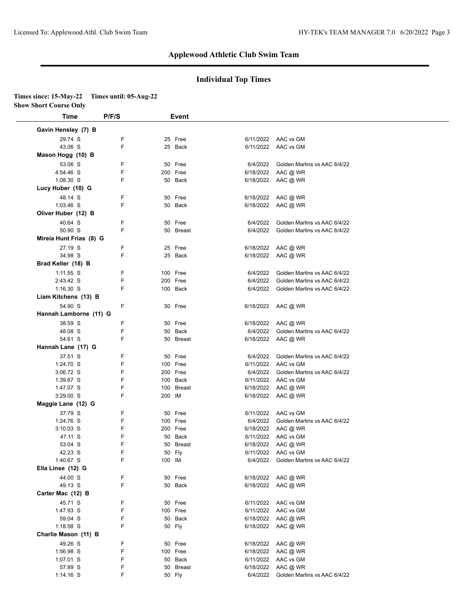### **Individual Top Times**

# **Times since: 15-May-22 Times until: 05-Aug-22**

**Show Short Course Only**

| Time                     | P/F/S  | <b>Event</b>         |                        |                              |
|--------------------------|--------|----------------------|------------------------|------------------------------|
| Gavin Hensley (7) B      |        |                      |                        |                              |
| 29.74 S                  | F      | 25 Free              |                        | 6/11/2022 AAC vs GM          |
| 43.06 S                  | F      | 25 Back              | 6/11/2022              | AAC vs GM                    |
| Mason Hogg (10) B        |        |                      |                        |                              |
| 53.06 S                  | F      | 50 Free              | 6/4/2022               | Golden Marlins vs AAC 6/4/22 |
| 4:54.46 S                | F      | 200 Free             | 6/18/2022              | AAC @ WR                     |
| 1:08.30 S                | F      | 50 Back              | 6/18/2022              | AAC @ WR                     |
| Lucy Huber (10) G        |        |                      |                        |                              |
| 48.14 S                  | F      | 50 Free              | 6/18/2022              | AAC @ WR                     |
| $1:03.46$ S              | F      | 50 Back              | 6/18/2022              | AAC @ WR                     |
| Oliver Huber (12) B      |        |                      |                        |                              |
| 40.64 S                  | F      | 50 Free              | 6/4/2022               | Golden Marlins vs AAC 6/4/22 |
| 50.90 S                  | F      | 50 Breast            | 6/4/2022               | Golden Marlins vs AAC 6/4/22 |
| Mireia Hunt Frias (8) G  |        |                      |                        |                              |
| 27.19 S                  | F      | 25 Free              | 6/18/2022              | AAC @ WR                     |
| 34.98 S                  | F      | 25 Back              | 6/18/2022              | AAC @ WR                     |
| Brad Keller (18) B       |        |                      |                        |                              |
|                          | F      | 100 Free             | 6/4/2022               | Golden Marlins vs AAC 6/4/22 |
| $1:11.55$ S<br>2:43.42 S | F      | 200 Free             | 6/4/2022               | Golden Marlins vs AAC 6/4/22 |
| $1:16.30$ S              | F      | 100 Back             | 6/4/2022               | Golden Marlins vs AAC 6/4/22 |
| Liam Kitchens (13) B     |        |                      |                        |                              |
| 54.90 S                  | F      |                      |                        |                              |
|                          |        | 50 Free              | 6/18/2022              | AAC @ WR                     |
| Hannah Lamborne (11) G   |        |                      |                        |                              |
| 38.59 S                  | F      | 50 Free              | 6/18/2022              | AAC @ WR                     |
| 48.08 S                  | F      | 50 Back              | 6/4/2022               | Golden Marlins vs AAC 6/4/22 |
| 54.61 S                  | F      | 50 Breast            | 6/18/2022              | AAC @ WR                     |
| Hannah Lane (17) G       |        |                      |                        |                              |
| 37.51 S                  | F      | 50 Free              | 6/4/2022               | Golden Marlins vs AAC 6/4/22 |
| 1:24.70 S                | F      | 100 Free             |                        | 6/11/2022 AAC vs GM          |
| 3:06.72 S                | F<br>F | 200 Free<br>100 Back | 6/4/2022               | Golden Marlins vs AAC 6/4/22 |
| 1:39.67 S<br>1:47.07 S   | F      | 100 Breast           | 6/11/2022<br>6/18/2022 | AAC vs GM<br>AAC @ WR        |
| 3:29.00 S                | F      | 200 IM               | 6/18/2022              | AAC @ WR                     |
| Maggie Lane (12) G       |        |                      |                        |                              |
| 37.79 S                  | F      | 50 Free              |                        | 6/11/2022 AAC vs GM          |
| 1:24.76 S                | F      | 100 Free             | 6/4/2022               | Golden Marlins vs AAC 6/4/22 |
| $3:10.03$ S              | F      | 200 Free             |                        | 6/18/2022 AAC @ WR           |
| 47.11 S                  | F      | 50 Back              |                        | 6/11/2022 AAC vs GM          |
| 53.04 S                  | F      | 50<br>Breast         | 6/18/2022              | AAC @ WR                     |
| 42.23 S                  | F      | 50 Fly               |                        | 6/11/2022 AAC vs GM          |
| 1:40.67 S                | F      | 100 IM               | 6/4/2022               | Golden Marlins vs AAC 6/4/22 |
| Ella Linse (12) G        |        |                      |                        |                              |
| 44.00 S                  | F      | 50 Free              | 6/18/2022              | AAC @ WR                     |
| 49.13 S                  | F      | 50 Back              | 6/18/2022              | AAC @ WR                     |
| Carter Mac (12) B        |        |                      |                        |                              |
| 45.71 S                  | F      | 50 Free              | 6/11/2022              | AAC vs GM                    |
| 1:47.93 S                | F      | 100 Free             | 6/11/2022              | AAC vs GM                    |
| 59.04 S                  | F      | 50 Back              | 6/18/2022              | AAC @ WR                     |
| 1:18.58 S                | F      | 50 Fly               | 6/18/2022              | AAC @ WR                     |
| Charlie Mason (11) B     |        |                      |                        |                              |
| 49.26 S                  | F      | 50 Free              | 6/18/2022              | AAC @ WR                     |
| 1:56.98 S                | F      | 100 Free             | 6/18/2022              | AAC @ WR                     |
| 1:07.01 S                | F      | 50 Back              | 6/11/2022              | AAC vs GM                    |
| 57.89 S                  | F      | 50 Breast            | 6/18/2022              | AAC @ WR                     |
| $1:14.16$ S              | F      | 50 Fly               | 6/4/2022               | Golden Marlins vs AAC 6/4/22 |
|                          |        |                      |                        |                              |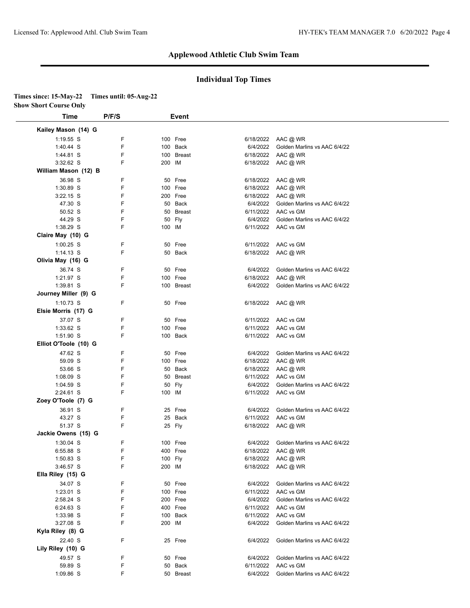### **Individual Top Times**

# **Times since: 15-May-22 Times until: 05-Aug-22**

**Show Short Course Only**

| Kailey Mason (14) G   |             |               |           |                              |
|-----------------------|-------------|---------------|-----------|------------------------------|
| $1:19.55$ S           | F           | 100 Free      | 6/18/2022 | AAC @ WR                     |
| 1:40.44 S             | F<br>100    | Back          | 6/4/2022  | Golden Marlins vs AAC 6/4/22 |
| 1:44.81 S             | F<br>100    | Breast        | 6/18/2022 | AAC @ WR                     |
| 3:32.62 S             | F<br>200 IM |               | 6/18/2022 | AAC @ WR                     |
| William Mason (12) B  |             |               |           |                              |
| 36.98 S               | F<br>50     | Free          | 6/18/2022 | AAC @ WR                     |
| 1:30.89 S             | F           | 100 Free      | 6/18/2022 | AAC @ WR                     |
| $3:22.15$ S           | F           | 200 Free      | 6/18/2022 | AAC @ WR                     |
| 47.30 S               | F<br>50     | Back          | 6/4/2022  | Golden Marlins vs AAC 6/4/22 |
| 50.52 S               | F<br>50     | <b>Breast</b> | 6/11/2022 | AAC vs GM                    |
| 44.29 S               | F<br>50     | Fly           | 6/4/2022  | Golden Marlins vs AAC 6/4/22 |
| 1:38.29 S             | F           | 100 IM        | 6/11/2022 | AAC vs GM                    |
| Claire May (10) G     |             |               |           |                              |
|                       |             |               |           |                              |
| $1:00.25$ S           | F           | 50 Free       | 6/11/2022 | AAC vs GM                    |
| $1:14.13$ S           | F           | 50 Back       | 6/18/2022 | AAC @ WR                     |
| Olivia May (16) G     |             |               |           |                              |
| 36.74 S               | F           | 50 Free       | 6/4/2022  | Golden Marlins vs AAC 6/4/22 |
| 1:21.97 S             | F           | 100 Free      | 6/18/2022 | AAC @ WR                     |
| 1:39.81 S             | F           | 100 Breast    | 6/4/2022  | Golden Marlins vs AAC 6/4/22 |
| Journey Miller (9) G  |             |               |           |                              |
| 1:10.73 S             | F           | 50 Free       | 6/18/2022 | AAC @ WR                     |
| Elsie Morris (17) G   |             |               |           |                              |
| 37.07 S               | F           | 50 Free       | 6/11/2022 | AAC vs GM                    |
| 1:33.62 S             | $\mathsf F$ | 100 Free      | 6/11/2022 | AAC vs GM                    |
| 1:51.90 S             | F           | 100 Back      |           | 6/11/2022 AAC vs GM          |
| Elliot O'Toole (10) G |             |               |           |                              |
| 47.62 S               | F           | 50 Free       | 6/4/2022  | Golden Marlins vs AAC 6/4/22 |
| 59.09 S               | F           | 100 Free      | 6/18/2022 | AAC @ WR                     |
| 53.66 S               | F           | 50 Back       | 6/18/2022 | AAC @ WR                     |
| 1:08.09 S             | F<br>50     | <b>Breast</b> | 6/11/2022 | AAC vs GM                    |
| 1:04.59 S             | F           | 50 Fly        | 6/4/2022  | Golden Marlins vs AAC 6/4/22 |
|                       | F           |               |           |                              |
| 2:24.61 S             | 100 IM      |               | 6/11/2022 | AAC vs GM                    |
| Zoey O'Toole (7) G    |             |               |           |                              |
| 36.91 S               | F           | 25 Free       | 6/4/2022  | Golden Marlins vs AAC 6/4/22 |
| 43.27 S               | F           | 25 Back       | 6/11/2022 | AAC vs GM                    |
| 51.37 S               | F           | 25 Fly        | 6/18/2022 | AAC @ WR                     |
| Jackie Owens (15) G   |             |               |           |                              |
| 1:30.04 S             | F<br>100    | Free          | 6/4/2022  | Golden Marlins vs AAC 6/4/22 |
| 6:55.88 S             | F           | 400 Free      | 6/18/2022 | AAC @ WR                     |
| 1:50.83 S             | F           | 100 Fly       |           | 6/18/2022 AAC @ WR           |
| 3:46.57 S             | F<br>200 IM |               | 6/18/2022 | AAC @ WR                     |
| Ella Riley (15) G     |             |               |           |                              |
| 34.07 S               | F           | 50 Free       | 6/4/2022  | Golden Marlins vs AAC 6/4/22 |
| 1:23.01 S             | F           | 100 Free      | 6/11/2022 | AAC vs GM                    |
| 2:58.24 S             | F           | 200 Free      | 6/4/2022  | Golden Marlins vs AAC 6/4/22 |
| 6:24.63 S             | F           | 400 Free      | 6/11/2022 | AAC vs GM                    |
| 1:33.98 S             | F           | 100 Back      | 6/11/2022 | AAC vs GM                    |
| 3:27.08 S             | F<br>200 IM |               | 6/4/2022  | Golden Marlins vs AAC 6/4/22 |
| Kyla Riley (8) G      |             |               |           |                              |
|                       |             |               |           |                              |
| 22.40 S               | F           | 25 Free       | 6/4/2022  | Golden Marlins vs AAC 6/4/22 |
| Lily Riley (10) G     |             |               |           |                              |
| 49.57 S               | F           | 50 Free       | 6/4/2022  | Golden Marlins vs AAC 6/4/22 |
| 59.89 S               | F           | 50 Back       | 6/11/2022 | AAC vs GM                    |
| 1:09.86 S             | F           | 50 Breast     | 6/4/2022  | Golden Marlins vs AAC 6/4/22 |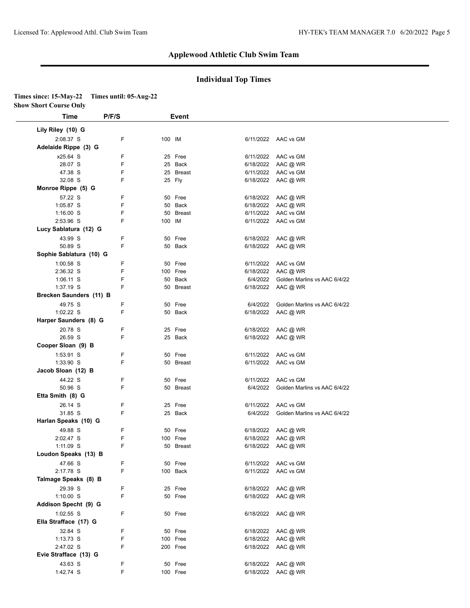### **Individual Top Times**

## **Times since: 15-May-22 Times until: 05-Aug-22**

**Show Short Course Only**

| Time                    | P/F/S | Event     |           |                              |  |
|-------------------------|-------|-----------|-----------|------------------------------|--|
| Lily Riley (10) G       |       |           |           |                              |  |
| 2:08.37 S               | F     | 100 IM    |           | 6/11/2022 AAC vs GM          |  |
| Adelaide Rippe (3) G    |       |           |           |                              |  |
| x25.64 S                | F     | 25 Free   | 6/11/2022 | AAC vs GM                    |  |
| 28.07 S                 | F     | 25 Back   |           | 6/18/2022 AAC @ WR           |  |
| 47.38 S                 | F     | 25 Breast |           | 6/11/2022 AAC vs GM          |  |
| 32.08 S                 | F     | 25 Fly    |           | 6/18/2022 AAC @ WR           |  |
| Monroe Rippe (5) G      |       |           |           |                              |  |
| 57.22 S                 | F     | 50 Free   |           | 6/18/2022 AAC @ WR           |  |
| 1:05.87 S               | F     | 50 Back   |           | 6/18/2022 AAC @ WR           |  |
| $1:16.00$ S             | F     | 50 Breast | 6/11/2022 | AAC vs GM                    |  |
| 2:53.96 S               | F     | 100 IM    |           | 6/11/2022 AAC vs GM          |  |
| Lucy Sablatura (12) G   |       |           |           |                              |  |
| 43.99 S                 | F     | 50 Free   |           | 6/18/2022 AAC @ WR           |  |
| 50.89 S                 | F     | 50 Back   |           | 6/18/2022 AAC @ WR           |  |
| Sophie Sablatura (10) G |       |           |           |                              |  |
| $1:00.58$ S             | F     | 50 Free   | 6/11/2022 | AAC vs GM                    |  |
| 2:36.32 S               | F     | 100 Free  | 6/18/2022 | AAC @ WR                     |  |
| $1:06.11$ S             | F     | 50 Back   | 6/4/2022  | Golden Marlins vs AAC 6/4/22 |  |
| $1:37.19$ S             | F     | 50 Breast | 6/18/2022 | AAC @ WR                     |  |
| Brecken Saunders (11) B |       |           |           |                              |  |
| 49.75 S                 | F     | 50 Free   | 6/4/2022  | Golden Marlins vs AAC 6/4/22 |  |
| $1:02.22$ S             | F     | 50 Back   |           | 6/18/2022 AAC @ WR           |  |
| Harper Saunders (8) G   |       |           |           |                              |  |
| 20.78 S                 | F     | 25 Free   |           | 6/18/2022 AAC @ WR           |  |
| 26.59 S                 | F     | 25 Back   |           | 6/18/2022 AAC @ WR           |  |
| Cooper Sloan (9) B      |       |           |           |                              |  |
| 1:53.91 S               | F     | 50 Free   |           | 6/11/2022 AAC vs GM          |  |
| 1:33.90 S               | F     | 50 Breast |           | 6/11/2022 AAC vs GM          |  |
| Jacob Sloan (12) B      |       |           |           |                              |  |
| 44.22 S                 | F     | 50 Free   | 6/11/2022 | AAC vs GM                    |  |
| 50.96 S                 | F     | 50 Breast | 6/4/2022  | Golden Marlins vs AAC 6/4/22 |  |
| Etta Smith (8) G        |       |           |           |                              |  |
| 26.14 S                 | F     | 25 Free   | 6/11/2022 | AAC vs GM                    |  |
| 31.85 S                 | F     | 25 Back   | 6/4/2022  | Golden Marlins vs AAC 6/4/22 |  |
| Harlan Speaks (10) G    |       |           |           |                              |  |
| 49.88 S                 | F     | 50 Free   | 6/18/2022 | AAC @ WR                     |  |
| 2:02.47 S               | F     | 100 Free  | 6/18/2022 | AAC @ WR                     |  |
| 1:11.09 S               | F     | 50 Breast |           | 6/18/2022 AAC @ WR           |  |
| Loudon Speaks (13) B    |       |           |           |                              |  |
| 47.66 S                 | F     | 50 Free   |           | 6/11/2022 AAC vs GM          |  |
| 2:17.78 S               | F     | 100 Back  |           | 6/11/2022 AAC vs GM          |  |
| Talmage Speaks (8) B    |       |           |           |                              |  |
| 29.39 S                 | F     | 25 Free   |           | 6/18/2022 AAC @ WR           |  |
| $1:10.00$ S             | F     | 50 Free   |           | 6/18/2022 AAC @ WR           |  |
| Addison Specht (9) G    |       |           |           |                              |  |
| 1:02.55 S               | F     | 50 Free   |           | 6/18/2022 AAC @ WR           |  |
| Ella Strafface (17) G   |       |           |           |                              |  |
| 32.84 S                 | F     | 50 Free   | 6/18/2022 | AAC @ WR                     |  |
| 1:13.73 S               | F     | 100 Free  | 6/18/2022 | AAC @ WR                     |  |
| 2:47.02 S               | F     | 200 Free  |           | 6/18/2022 AAC @ WR           |  |
| Evie Strafface (13) G   |       |           |           |                              |  |
| 43.63 S                 | F     | 50 Free   |           | 6/18/2022 AAC @ WR           |  |
| 1:42.74 S               | F     | 100 Free  |           | 6/18/2022 AAC @ WR           |  |
|                         |       |           |           |                              |  |